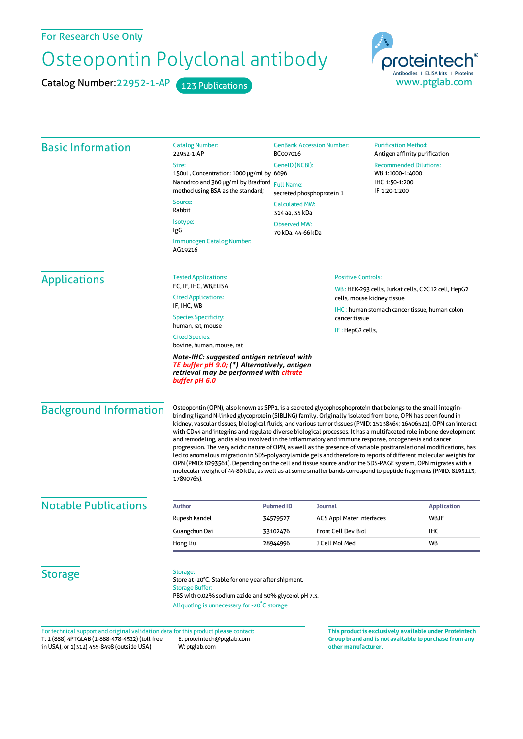## For Research Use Only

## Osteopontin Polyclonal antibody

Catalog Number: 22952-1-AP 123 Publications



| <b>Basic Information</b>      | <b>Catalog Number:</b><br>22952-1-AP<br>Size:<br>150ul, Concentration: 1000 µg/ml by 6696<br>Nanodrop and 360 µg/ml by Bradford<br>method using BSA as the standard;<br>Source:<br>Rabbit<br>Isotype:<br>IgG                                                                                                                                                                                                                                                                                                                                                                                                                                                                                                                                                                                                                                                                                                                                                                                                                                                                  | <b>GenBank Accession Number:</b><br>BC007016<br>GenelD (NCBI):<br><b>Full Name:</b><br>secreted phosphoprotein 1<br><b>Calculated MW:</b><br>314 aa, 35 kDa<br><b>Observed MW:</b><br>70 kDa, 44-66 kDa |                                                                                                                                                                                                            | <b>Purification Method:</b><br>Antigen affinity purification<br><b>Recommended Dilutions:</b><br>WB 1:1000-1:4000<br>IHC 1:50-1:200<br>IF 1:20-1:200 |                    |
|-------------------------------|-------------------------------------------------------------------------------------------------------------------------------------------------------------------------------------------------------------------------------------------------------------------------------------------------------------------------------------------------------------------------------------------------------------------------------------------------------------------------------------------------------------------------------------------------------------------------------------------------------------------------------------------------------------------------------------------------------------------------------------------------------------------------------------------------------------------------------------------------------------------------------------------------------------------------------------------------------------------------------------------------------------------------------------------------------------------------------|---------------------------------------------------------------------------------------------------------------------------------------------------------------------------------------------------------|------------------------------------------------------------------------------------------------------------------------------------------------------------------------------------------------------------|------------------------------------------------------------------------------------------------------------------------------------------------------|--------------------|
|                               | Immunogen Catalog Number:<br>AG19216                                                                                                                                                                                                                                                                                                                                                                                                                                                                                                                                                                                                                                                                                                                                                                                                                                                                                                                                                                                                                                          |                                                                                                                                                                                                         |                                                                                                                                                                                                            |                                                                                                                                                      |                    |
| <b>Applications</b>           | <b>Tested Applications:</b><br>FC, IF, IHC, WB, ELISA<br><b>Cited Applications:</b><br>IF, IHC, WB<br><b>Species Specificity:</b><br>human, rat, mouse<br><b>Cited Species:</b><br>bovine, human, mouse, rat<br>Note-IHC: suggested antigen retrieval with<br>TE buffer pH 9.0; (*) Alternatively, antigen<br>retrieval may be performed with citrate<br>buffer pH 6.0                                                                                                                                                                                                                                                                                                                                                                                                                                                                                                                                                                                                                                                                                                        |                                                                                                                                                                                                         | <b>Positive Controls:</b><br>WB: HEK-293 cells, Jurkat cells, C2C12 cell, HepG2<br>cells, mouse kidney tissue<br><b>IHC:</b> human stomach cancer tissue, human colon<br>cancer tissue<br>IF: HepG2 cells, |                                                                                                                                                      |                    |
| <b>Background Information</b> | Osteopontin (OPN), also known as SPP1, is a secreted glycophosphoprotein that belongs to the small integrin-<br>binding ligand N-linked glycoprotein (SIBLING) family. Originally isolated from bone, OPN has been found in<br>kidney, vascular tissues, biological fluids, and various tumor tissues (PMID: 15138464; 16406521). OPN can interact<br>with CD44 and integrins and regulate diverse biological processes. It has a multifaceted role in bone development<br>and remodeling, and is also involved in the inflammatory and immune response, oncogenesis and cancer<br>progression. The very acidic nature of OPN, as well as the presence of variable posttranslational modifications, has<br>led to anomalous migration in SDS-polyacrylamide gels and therefore to reports of different molecular weights for<br>OPN (PMID: 8293561). Depending on the cell and tissue source and/or the SDS-PAGE system, OPN migrates with a<br>molecular weight of 44-80 kDa, as well as at some smaller bands correspond to peptide fragments (PMID: 8195113;<br>17890765). |                                                                                                                                                                                                         |                                                                                                                                                                                                            |                                                                                                                                                      |                    |
| <b>Notable Publications</b>   | <b>Author</b>                                                                                                                                                                                                                                                                                                                                                                                                                                                                                                                                                                                                                                                                                                                                                                                                                                                                                                                                                                                                                                                                 | <b>Pubmed ID</b>                                                                                                                                                                                        | Journal                                                                                                                                                                                                    |                                                                                                                                                      | <b>Application</b> |
|                               | Rupesh Kandel                                                                                                                                                                                                                                                                                                                                                                                                                                                                                                                                                                                                                                                                                                                                                                                                                                                                                                                                                                                                                                                                 | 34579527                                                                                                                                                                                                | <b>ACS Appl Mater Interfaces</b>                                                                                                                                                                           |                                                                                                                                                      | WB,IF              |
|                               | Guangchun Dai                                                                                                                                                                                                                                                                                                                                                                                                                                                                                                                                                                                                                                                                                                                                                                                                                                                                                                                                                                                                                                                                 | 33102476                                                                                                                                                                                                | Front Cell Dev Biol                                                                                                                                                                                        |                                                                                                                                                      | IHC                |
|                               | Hong Liu                                                                                                                                                                                                                                                                                                                                                                                                                                                                                                                                                                                                                                                                                                                                                                                                                                                                                                                                                                                                                                                                      | 28944996                                                                                                                                                                                                | J Cell Mol Med                                                                                                                                                                                             |                                                                                                                                                      | WB                 |
| <b>Storage</b>                | Storage:<br>Store at -20°C. Stable for one year after shipment.<br><b>Storage Buffer:</b><br>PBS with 0.02% sodium azide and 50% glycerol pH 7.3.<br>Aliquoting is unnecessary for -20°C storage                                                                                                                                                                                                                                                                                                                                                                                                                                                                                                                                                                                                                                                                                                                                                                                                                                                                              |                                                                                                                                                                                                         |                                                                                                                                                                                                            |                                                                                                                                                      |                    |

T: 1 (888) 4PTGLAB (1-888-478-4522) (toll free in USA), or 1(312) 455-8498 (outside USA) E: proteintech@ptglab.com W: ptglab.com Fortechnical support and original validation data forthis product please contact: **This productis exclusively available under Proteintech**

**Group brand and is not available to purchase from any other manufacturer.**